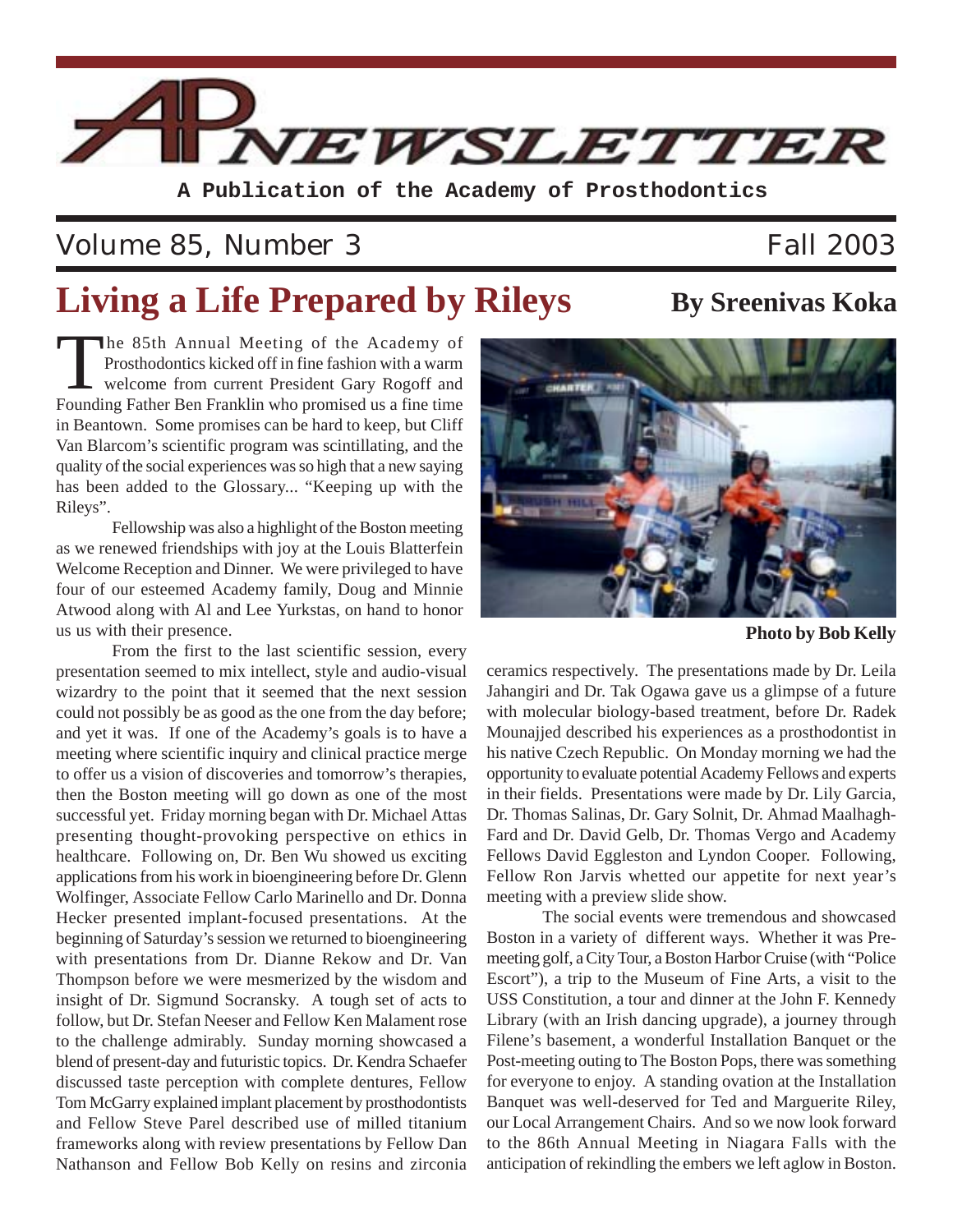

**A Publication of the Academy of Prosthodontics**

### Volume 85, Number 3 Fall 2003

# **Living a Life Prepared by Rileys** By Sreenivas Koka

The 85th Annual Meeting of the Academy of Prosthodontics kicked off in fine fashion with a warm welcome from current President Gary Rogoff and Founding Father Ben Franklin who promised us a fine time in Beantown. Some promises can be hard to keep, but Cliff Van Blarcom's scientific program was scintillating, and the quality of the social experiences was so high that a new saying has been added to the Glossary... "Keeping up with the Rileys".

Fellowship was also a highlight of the Boston meeting as we renewed friendships with joy at the Louis Blatterfein Welcome Reception and Dinner. We were privileged to have four of our esteemed Academy family, Doug and Minnie Atwood along with Al and Lee Yurkstas, on hand to honor us us with their presence.

From the first to the last scientific session, every presentation seemed to mix intellect, style and audio-visual wizardry to the point that it seemed that the next session could not possibly be as good as the one from the day before; and yet it was. If one of the Academy's goals is to have a meeting where scientific inquiry and clinical practice merge to offer us a vision of discoveries and tomorrow's therapies, then the Boston meeting will go down as one of the most successful yet. Friday morning began with Dr. Michael Attas presenting thought-provoking perspective on ethics in healthcare. Following on, Dr. Ben Wu showed us exciting applications from his work in bioengineering before Dr. Glenn Wolfinger, Associate Fellow Carlo Marinello and Dr. Donna Hecker presented implant-focused presentations. At the beginning of Saturday's session we returned to bioengineering with presentations from Dr. Dianne Rekow and Dr. Van Thompson before we were mesmerized by the wisdom and insight of Dr. Sigmund Socransky. A tough set of acts to follow, but Dr. Stefan Neeser and Fellow Ken Malament rose to the challenge admirably. Sunday morning showcased a blend of present-day and futuristic topics. Dr. Kendra Schaefer discussed taste perception with complete dentures, Fellow Tom McGarry explained implant placement by prosthodontists and Fellow Steve Parel described use of milled titanium frameworks along with review presentations by Fellow Dan Nathanson and Fellow Bob Kelly on resins and zirconia

**Photo by Bob Kelly**

ceramics respectively. The presentations made by Dr. Leila Jahangiri and Dr. Tak Ogawa gave us a glimpse of a future with molecular biology-based treatment, before Dr. Radek Mounajjed described his experiences as a prosthodontist in his native Czech Republic. On Monday morning we had the opportunity to evaluate potential Academy Fellows and experts in their fields. Presentations were made by Dr. Lily Garcia, Dr. Thomas Salinas, Dr. Gary Solnit, Dr. Ahmad Maalhagh-Fard and Dr. David Gelb, Dr. Thomas Vergo and Academy Fellows David Eggleston and Lyndon Cooper. Following, Fellow Ron Jarvis whetted our appetite for next year's meeting with a preview slide show.

The social events were tremendous and showcased Boston in a variety of different ways. Whether it was Premeeting golf, a City Tour, a Boston Harbor Cruise (with "Police Escort"), a trip to the Museum of Fine Arts, a visit to the USS Constitution, a tour and dinner at the John F. Kennedy Library (with an Irish dancing upgrade), a journey through Filene's basement, a wonderful Installation Banquet or the Post-meeting outing to The Boston Pops, there was something for everyone to enjoy. A standing ovation at the Installation Banquet was well-deserved for Ted and Marguerite Riley, our Local Arrangement Chairs. And so we now look forward to the 86th Annual Meeting in Niagara Falls with the anticipation of rekindling the embers we left aglow in Boston.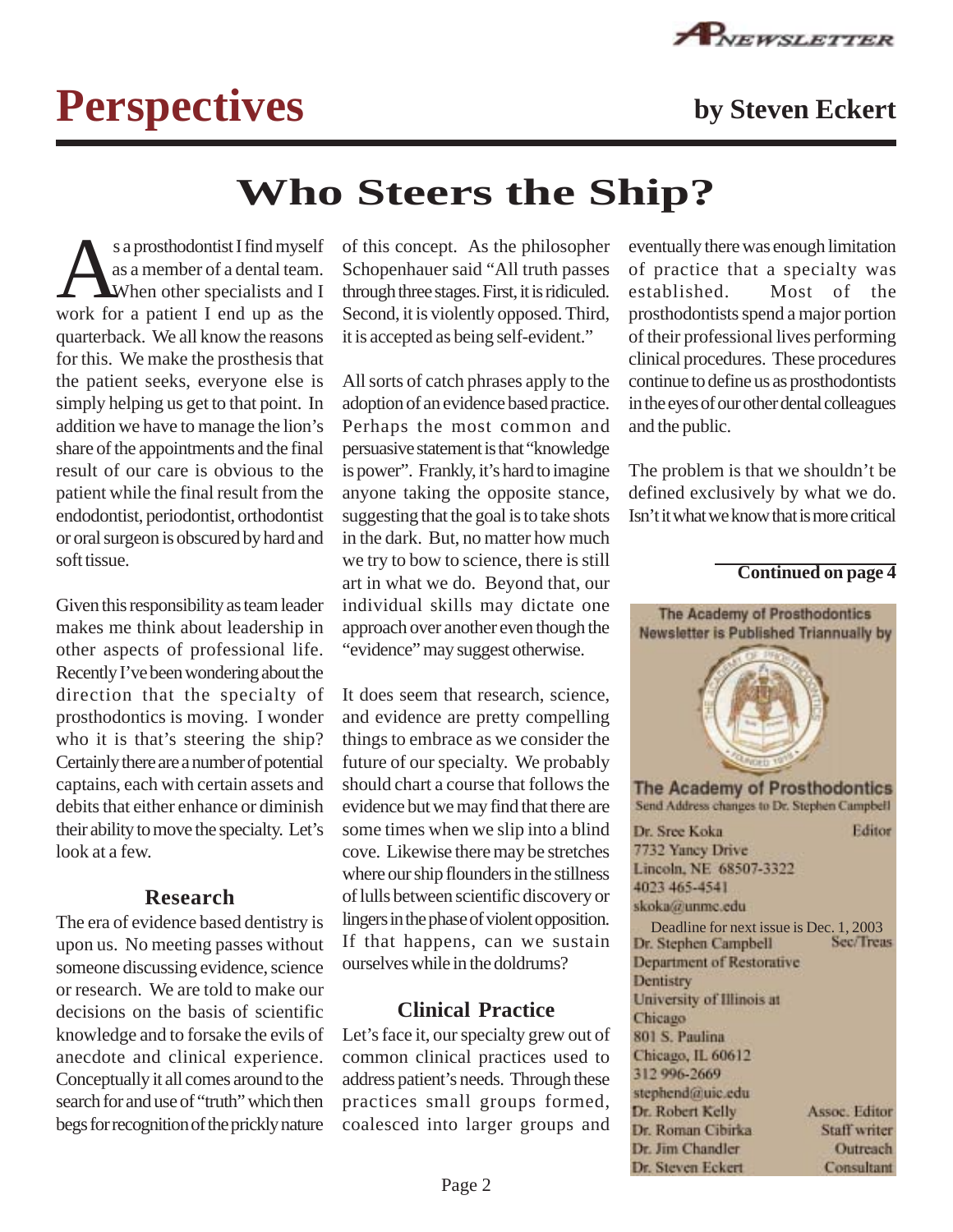

# **Perspectives by Steven Eckert**

## **Who Steers the Ship?**

s a prosthodontist I find myself as a member of a dental team. When other specialists and I work for a patient I end up as the quarterback. We all know the reasons for this. We make the prosthesis that the patient seeks, everyone else is simply helping us get to that point. In addition we have to manage the lion's share of the appointments and the final result of our care is obvious to the patient while the final result from the endodontist, periodontist, orthodontist or oral surgeon is obscured by hard and soft tissue.

Given this responsibility as team leader makes me think about leadership in other aspects of professional life. Recently I've been wondering about the direction that the specialty of prosthodontics is moving. I wonder who it is that's steering the ship? Certainly there are a number of potential captains, each with certain assets and debits that either enhance or diminish their ability to move the specialty. Let's look at a few.

#### **Research**

The era of evidence based dentistry is upon us. No meeting passes without someone discussing evidence, science or research. We are told to make our decisions on the basis of scientific knowledge and to forsake the evils of anecdote and clinical experience. Conceptually it all comes around to the search for and use of "truth" which then begs for recognition of the prickly nature

of this concept. As the philosopher Schopenhauer said "All truth passes through three stages. First, it is ridiculed. Second, it is violently opposed. Third, it is accepted as being self-evident."

All sorts of catch phrases apply to the adoption of an evidence based practice. Perhaps the most common and persuasive statement is that "knowledge is power". Frankly, it's hard to imagine anyone taking the opposite stance, suggesting that the goal is to take shots in the dark. But, no matter how much we try to bow to science, there is still art in what we do. Beyond that, our individual skills may dictate one approach over another even though the "evidence" may suggest otherwise.

It does seem that research, science, and evidence are pretty compelling things to embrace as we consider the future of our specialty. We probably should chart a course that follows the evidence but we may find that there are some times when we slip into a blind cove. Likewise there may be stretches where our ship flounders in the stillness of lulls between scientific discovery or lingers in the phase of violent opposition. If that happens, can we sustain ourselves while in the doldrums?

#### **Clinical Practice**

Let's face it, our specialty grew out of common clinical practices used to address patient's needs. Through these practices small groups formed, coalesced into larger groups and eventually there was enough limitation of practice that a specialty was established. Most of the prosthodontists spend a major portion of their professional lives performing clinical procedures. These procedures continue to define us as prosthodontists in the eyes of our other dental colleagues and the public.

The problem is that we shouldn't be defined exclusively by what we do. Isn't it what we know that is more critical

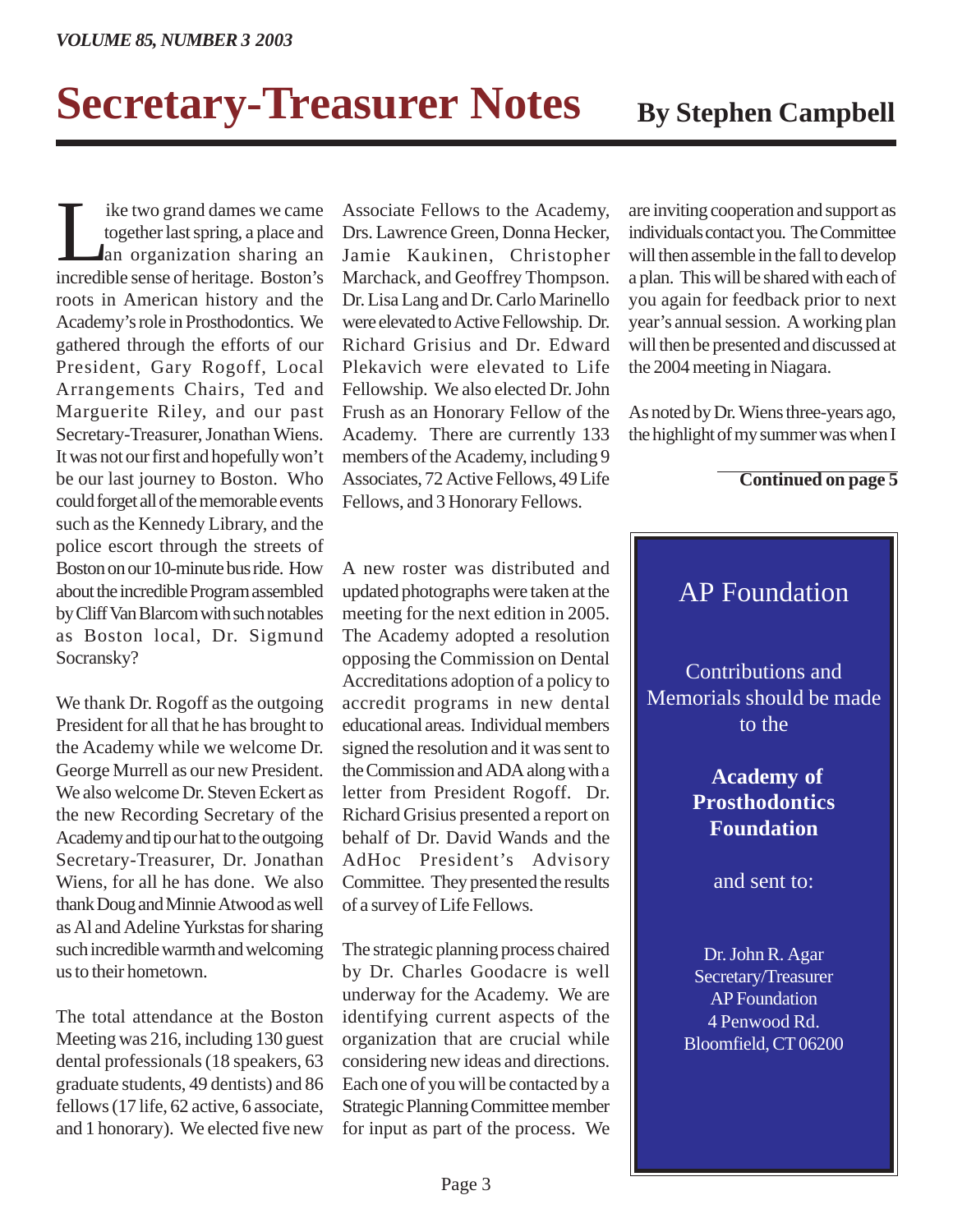# **Secretary-Treasurer Notes** By Stephen Campbell

Ike two grand dames we came<br>together last spring, a place and<br>an organization sharing an together last spring, a place and an organization sharing an incredible sense of heritage. Boston's roots in American history and the Academy's role in Prosthodontics. We gathered through the efforts of our President, Gary Rogoff, Local Arrangements Chairs, Ted and Marguerite Riley, and our past Secretary-Treasurer, Jonathan Wiens. It was not our first and hopefully won't be our last journey to Boston. Who could forget all of the memorable events such as the Kennedy Library, and the police escort through the streets of Boston on our 10-minute bus ride. How about the incredible Program assembled by Cliff Van Blarcom with such notables as Boston local, Dr. Sigmund Socransky?

We thank Dr. Rogoff as the outgoing President for all that he has brought to the Academy while we welcome Dr. George Murrell as our new President. We also welcome Dr. Steven Eckert as the new Recording Secretary of the Academy and tip our hat to the outgoing Secretary-Treasurer, Dr. Jonathan Wiens, for all he has done. We also thank Doug and Minnie Atwood as well as Al and Adeline Yurkstas for sharing such incredible warmth and welcoming us to their hometown.

The total attendance at the Boston Meeting was 216, including 130 guest dental professionals (18 speakers, 63 graduate students, 49 dentists) and 86 fellows (17 life, 62 active, 6 associate, and 1 honorary). We elected five new

Associate Fellows to the Academy, Drs. Lawrence Green, Donna Hecker, Jamie Kaukinen, Christopher Marchack, and Geoffrey Thompson. Dr. Lisa Lang and Dr. Carlo Marinello were elevated to Active Fellowship. Dr. Richard Grisius and Dr. Edward Plekavich were elevated to Life Fellowship. We also elected Dr. John Frush as an Honorary Fellow of the Academy. There are currently 133 members of the Academy, including 9 Associates, 72 Active Fellows, 49 Life Fellows, and 3 Honorary Fellows.

are inviting cooperation and support as individuals contact you. The Committee will then assemble in the fall to develop a plan. This will be shared with each of you again for feedback prior to next year's annual session. A working plan will then be presented and discussed at the 2004 meeting in Niagara.

As noted by Dr. Wiens three-years ago, the highlight of my summer was when I

#### **Continued on page 5**

A new roster was distributed and updated photographs were taken at the meeting for the next edition in 2005. The Academy adopted a resolution opposing the Commission on Dental Accreditations adoption of a policy to accredit programs in new dental educational areas. Individual members signed the resolution and it was sent to the Commission and ADA along with a letter from President Rogoff. Dr. Richard Grisius presented a report on behalf of Dr. David Wands and the AdHoc President's Advisory Committee. They presented the results of a survey of Life Fellows.

The strategic planning process chaired by Dr. Charles Goodacre is well underway for the Academy. We are identifying current aspects of the organization that are crucial while considering new ideas and directions. Each one of you will be contacted by a Strategic Planning Committee member for input as part of the process. We

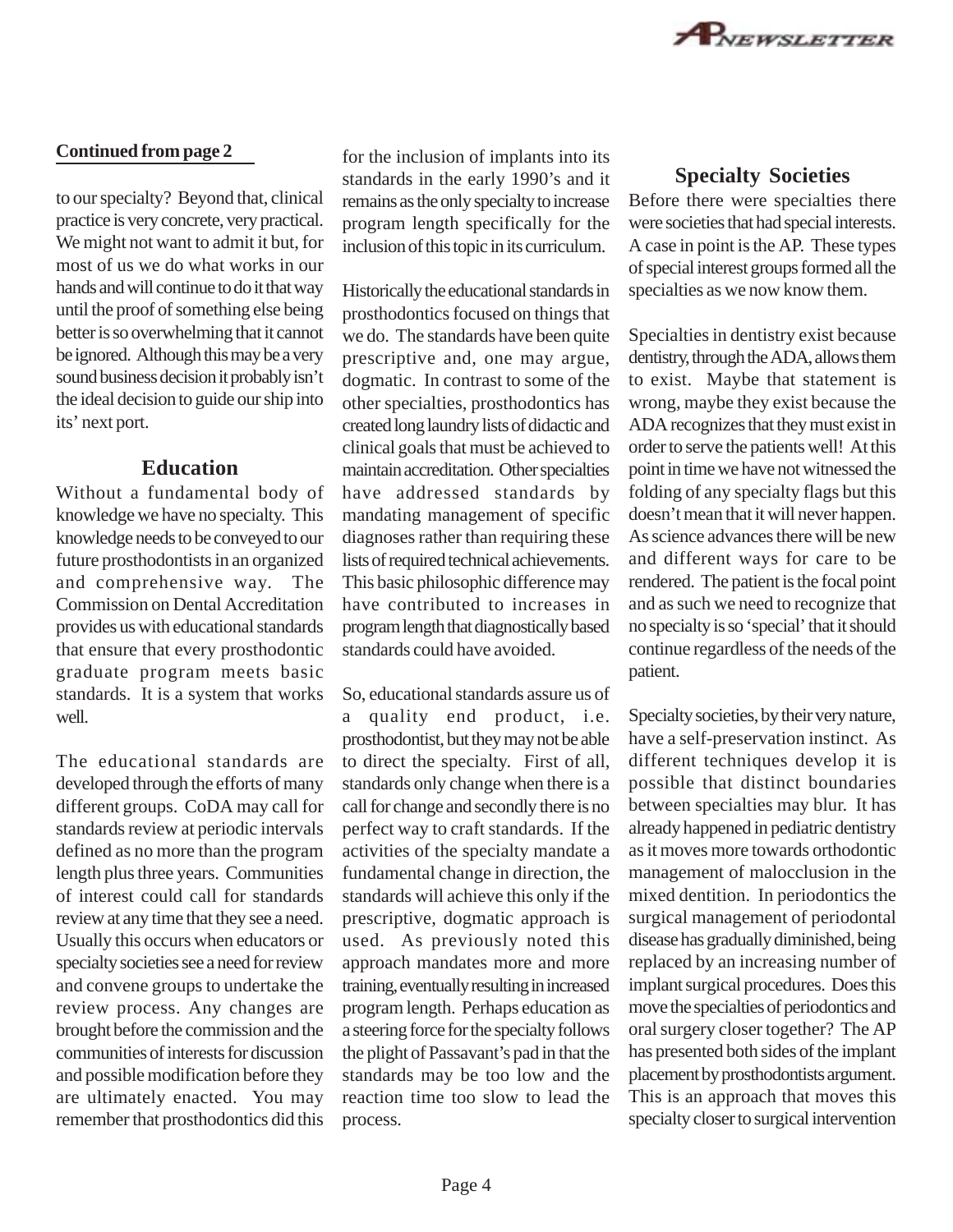

#### **Continued from page 2**

to our specialty? Beyond that, clinical practice is very concrete, very practical. We might not want to admit it but, for most of us we do what works in our hands and will continue to do it that way until the proof of something else being better is so overwhelming that it cannot be ignored. Although this may be a very sound business decision it probably isn't the ideal decision to guide our ship into its' next port.

#### **Education**

Without a fundamental body of knowledge we have no specialty. This knowledge needs to be conveyed to our future prosthodontists in an organized and comprehensive way. The Commission on Dental Accreditation provides us with educational standards that ensure that every prosthodontic graduate program meets basic standards. It is a system that works well.

The educational standards are developed through the efforts of many different groups. CoDA may call for standards review at periodic intervals defined as no more than the program length plus three years. Communities of interest could call for standards review at any time that they see a need. Usually this occurs when educators or specialty societies see a need for review and convene groups to undertake the review process. Any changes are brought before the commission and the communities of interests for discussion and possible modification before they are ultimately enacted. You may remember that prosthodontics did this

for the inclusion of implants into its standards in the early 1990's and it remains as the only specialty to increase program length specifically for the inclusion of this topic in its curriculum.

Historically the educational standards in prosthodontics focused on things that we do. The standards have been quite prescriptive and, one may argue, dogmatic. In contrast to some of the other specialties, prosthodontics has created long laundry lists of didactic and clinical goals that must be achieved to maintain accreditation. Other specialties have addressed standards by mandating management of specific diagnoses rather than requiring these lists of required technical achievements. This basic philosophic difference may have contributed to increases in program length that diagnostically based standards could have avoided.

So, educational standards assure us of

a quality end product, i.e. prosthodontist, but they may not be able to direct the specialty. First of all, standards only change when there is a call for change and secondly there is no perfect way to craft standards. If the activities of the specialty mandate a fundamental change in direction, the standards will achieve this only if the prescriptive, dogmatic approach is used. As previously noted this approach mandates more and more training, eventually resulting in increased program length. Perhaps education as a steering force for the specialty follows the plight of Passavant's pad in that the standards may be too low and the reaction time too slow to lead the process.

#### **Specialty Societies**

Before there were specialties there were societies that had special interests. A case in point is the AP. These types of special interest groups formed all the specialties as we now know them.

Specialties in dentistry exist because dentistry, through the ADA, allows them to exist. Maybe that statement is wrong, maybe they exist because the ADA recognizes that they must exist in order to serve the patients well! At this point in time we have not witnessed the folding of any specialty flags but this doesn't mean that it will never happen. As science advances there will be new and different ways for care to be rendered. The patient is the focal point and as such we need to recognize that no specialty is so 'special' that it should continue regardless of the needs of the patient.

Specialty societies, by their very nature, have a self-preservation instinct. As different techniques develop it is possible that distinct boundaries between specialties may blur. It has already happened in pediatric dentistry as it moves more towards orthodontic management of malocclusion in the mixed dentition. In periodontics the surgical management of periodontal disease has gradually diminished, being replaced by an increasing number of implant surgical procedures. Does this move the specialties of periodontics and oral surgery closer together? The AP has presented both sides of the implant placement by prosthodontists argument. This is an approach that moves this specialty closer to surgical intervention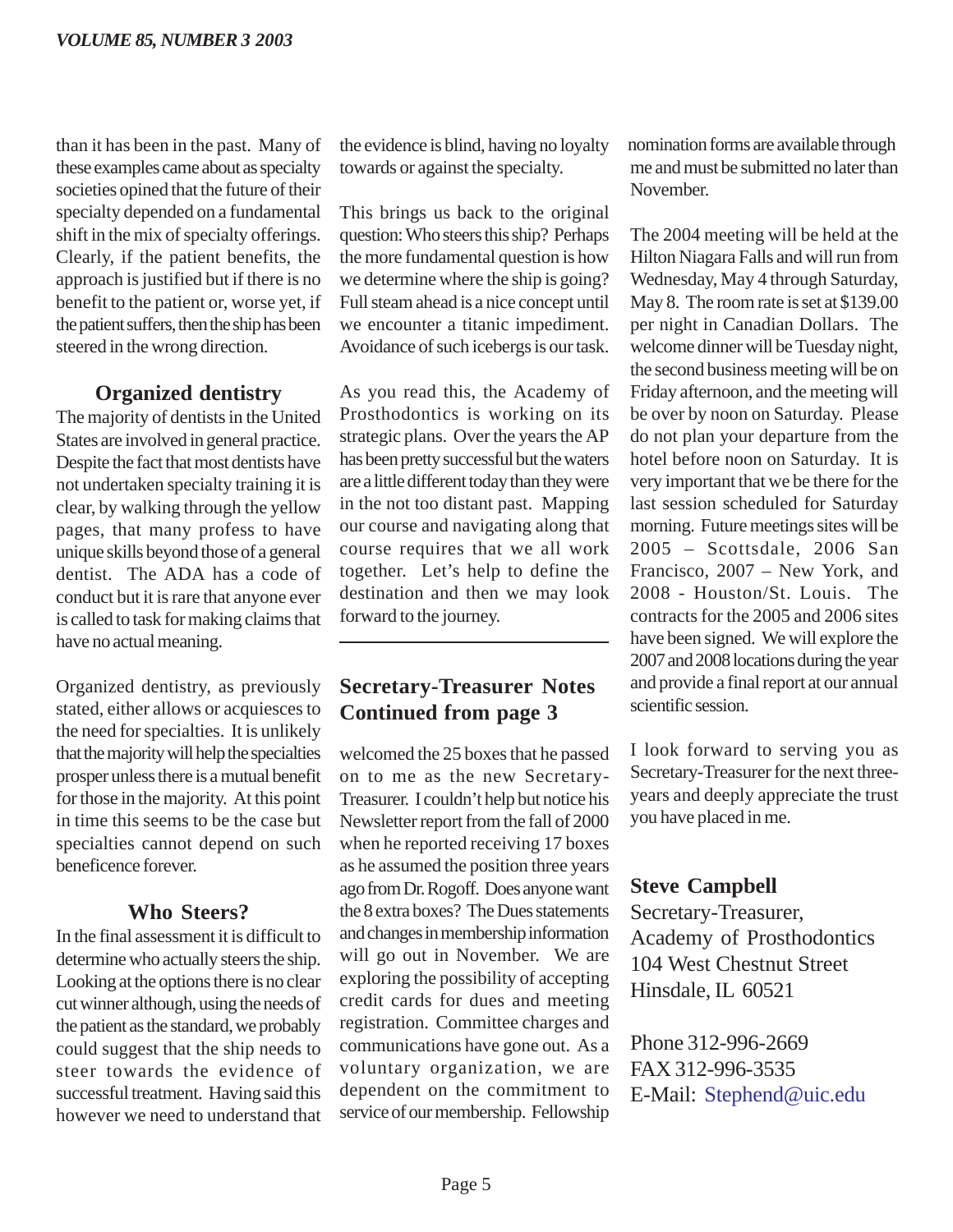than it has been in the past. Many of these examples came about as specialty societies opined that the future of their specialty depended on a fundamental shift in the mix of specialty offerings. Clearly, if the patient benefits, the approach is justified but if there is no benefit to the patient or, worse yet, if the patient suffers, then the ship has been steered in the wrong direction.

### **Organized dentistry**

The majority of dentists in the United States are involved in general practice. Despite the fact that most dentists have not undertaken specialty training it is clear, by walking through the yellow pages, that many profess to have unique skills beyond those of a general dentist. The ADA has a code of conduct but it is rare that anyone ever is called to task for making claims that have no actual meaning.

Organized dentistry, as previously stated, either allows or acquiesces to the need for specialties. It is unlikely that the majority will help the specialties prosper unless there is a mutual benefit for those in the majority. At this point in time this seems to be the case but specialties cannot depend on such beneficence forever.

#### **Who Steers?**

In the final assessment it is difficult to determine who actually steers the ship. Looking at the options there is no clear cut winner although, using the needs of the patient as the standard, we probably could suggest that the ship needs to steer towards the evidence of successful treatment. Having said this however we need to understand that the evidence is blind, having no loyalty towards or against the specialty.

This brings us back to the original question: Who steers this ship? Perhaps the more fundamental question is how we determine where the ship is going? Full steam ahead is a nice concept until we encounter a titanic impediment. Avoidance of such icebergs is our task.

As you read this, the Academy of Prosthodontics is working on its strategic plans. Over the years the AP has been pretty successful but the waters are a little different today than they were in the not too distant past. Mapping our course and navigating along that course requires that we all work together. Let's help to define the destination and then we may look forward to the journey.

### **Secretary-Treasurer Notes Continued from page 3**

welcomed the 25 boxes that he passed on to me as the new Secretary-Treasurer. I couldn't help but notice his Newsletter report from the fall of 2000 when he reported receiving 17 boxes as he assumed the position three years ago from Dr. Rogoff. Does anyone want the 8 extra boxes? The Dues statements and changes in membership information will go out in November. We are exploring the possibility of accepting credit cards for dues and meeting registration. Committee charges and communications have gone out. As a voluntary organization, we are dependent on the commitment to service of our membership. Fellowship

nomination forms are available through me and must be submitted no later than November.

The 2004 meeting will be held at the Hilton Niagara Falls and will run from Wednesday, May 4 through Saturday, May 8. The room rate is set at \$139.00 per night in Canadian Dollars. The welcome dinner will be Tuesday night, the second business meeting will be on Friday afternoon, and the meeting will be over by noon on Saturday. Please do not plan your departure from the hotel before noon on Saturday. It is very important that we be there for the last session scheduled for Saturday morning. Future meetings sites will be 2005 – Scottsdale, 2006 San Francisco, 2007 – New York, and 2008 - Houston/St. Louis. The contracts for the 2005 and 2006 sites have been signed. We will explore the 2007 and 2008 locations during the year and provide a final report at our annual scientific session.

I look forward to serving you as Secretary-Treasurer for the next threeyears and deeply appreciate the trust you have placed in me.

### **Steve Campbell**

Secretary-Treasurer, Academy of Prosthodontics 104 West Chestnut Street Hinsdale, IL 60521

Phone 312-996-2669 FAX 312-996-3535 E-Mail: Stephend@uic.edu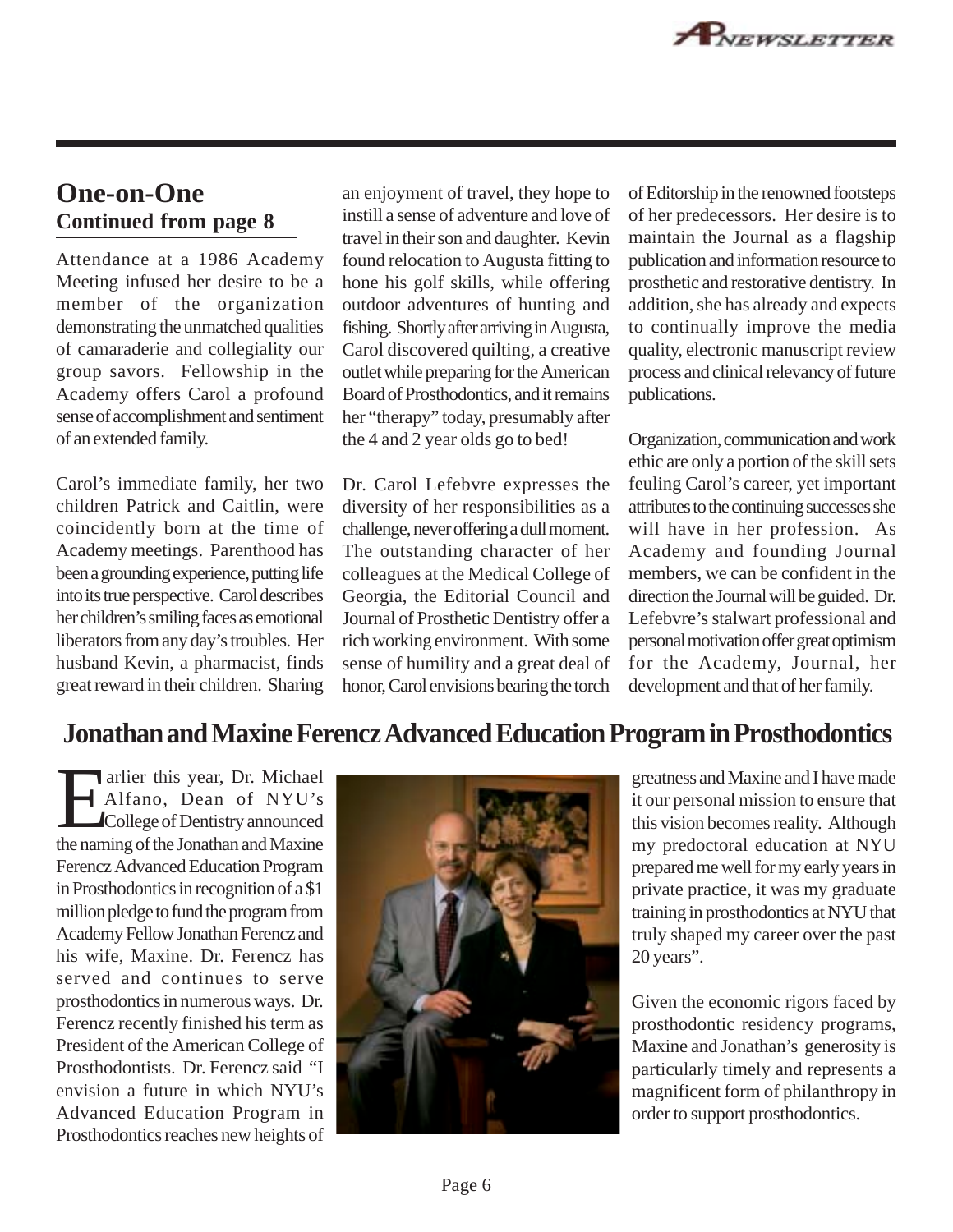### **One-on-One Continued from page 8**

Attendance at a 1986 Academy Meeting infused her desire to be a member of the organization demonstrating the unmatched qualities of camaraderie and collegiality our group savors. Fellowship in the Academy offers Carol a profound sense of accomplishment and sentiment of an extended family.

Carol's immediate family, her two children Patrick and Caitlin, were coincidently born at the time of Academy meetings. Parenthood has been a grounding experience, putting life into its true perspective. Carol describes her children's smiling faces as emotional liberators from any day's troubles. Her husband Kevin, a pharmacist, finds great reward in their children. Sharing

an enjoyment of travel, they hope to instill a sense of adventure and love of travel in their son and daughter. Kevin found relocation to Augusta fitting to hone his golf skills, while offering outdoor adventures of hunting and fishing. Shortly after arriving in Augusta, Carol discovered quilting, a creative outlet while preparing for the American Board of Prosthodontics, and it remains her "therapy" today, presumably after the 4 and 2 year olds go to bed!

Dr. Carol Lefebvre expresses the diversity of her responsibilities as a challenge, never offering a dull moment. The outstanding character of her colleagues at the Medical College of Georgia, the Editorial Council and Journal of Prosthetic Dentistry offer a rich working environment. With some sense of humility and a great deal of honor, Carol envisions bearing the torch of Editorship in the renowned footsteps of her predecessors. Her desire is to maintain the Journal as a flagship publication and information resource to prosthetic and restorative dentistry. In addition, she has already and expects to continually improve the media quality, electronic manuscript review process and clinical relevancy of future publications.

Organization, communication and work ethic are only a portion of the skill sets feuling Carol's career, yet important attributes to the continuing successes she will have in her profession. As Academy and founding Journal members, we can be confident in the direction the Journal will be guided. Dr. Lefebvre's stalwart professional and personal motivation offer great optimism for the Academy, Journal, her development and that of her family.

### **Jonathan and Maxine Ferencz Advanced Education Program in Prosthodontics**

arlier this year, Dr. Michael<br>Alfano, Dean of NYU's<br>College of Dentistry announced Alfano, Dean of NYU's College of Dentistry announced the naming of the Jonathan and Maxine Ferencz Advanced Education Program in Prosthodontics in recognition of a \$1 million pledge to fund the program from Academy Fellow Jonathan Ferencz and his wife, Maxine. Dr. Ferencz has served and continues to serve prosthodontics in numerous ways. Dr. Ferencz recently finished his term as President of the American College of Prosthodontists. Dr. Ferencz said "I envision a future in which NYU's Advanced Education Program in Prosthodontics reaches new heights of



greatness and Maxine and I have made it our personal mission to ensure that this vision becomes reality. Although my predoctoral education at NYU prepared me well for my early years in private practice, it was my graduate training in prosthodontics at NYU that truly shaped my career over the past 20 years".

Given the economic rigors faced by prosthodontic residency programs, Maxine and Jonathan's generosity is particularly timely and represents a magnificent form of philanthropy in order to support prosthodontics.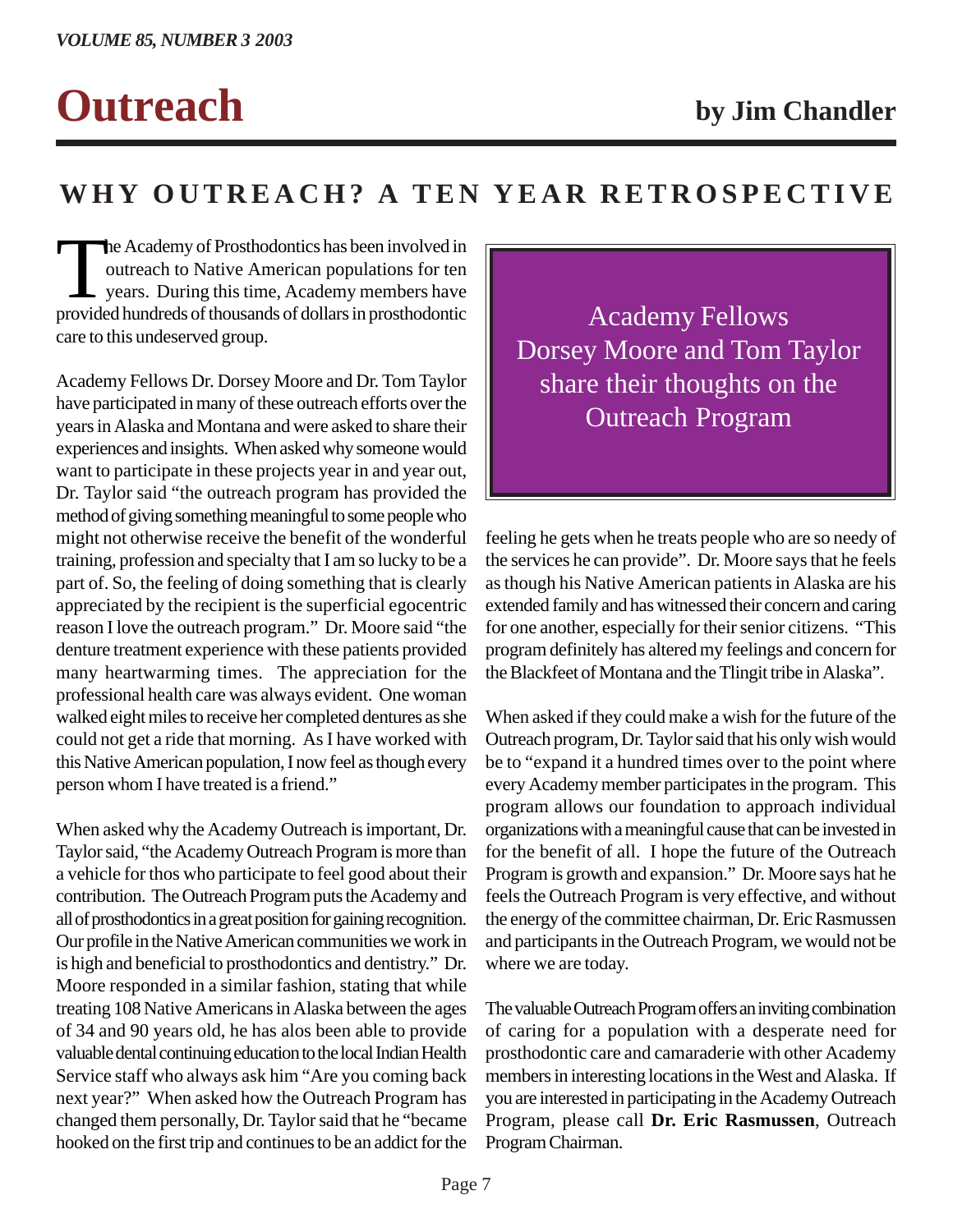# **Outreach by Jim Chandler**

## **WHY OUTREACH? A TEN YEAR RETROSPECTIVE**

The Academy of Prosthodontics has been involved in<br>
outreach to Native American populations for ten<br>
years. During this time, Academy members have<br>
provided bundreds of thousands of dollars in prosthodontic outreach to Native American populations for ten years. During this time, Academy members have provided hundreds of thousands of dollars in prosthodontic care to this undeserved group.

Academy Fellows Dr. Dorsey Moore and Dr. Tom Taylor have participated in many of these outreach efforts over the years in Alaska and Montana and were asked to share their experiences and insights. When asked why someone would want to participate in these projects year in and year out, Dr. Taylor said "the outreach program has provided the method of giving something meaningful to some people who might not otherwise receive the benefit of the wonderful training, profession and specialty that I am so lucky to be a part of. So, the feeling of doing something that is clearly appreciated by the recipient is the superficial egocentric reason I love the outreach program." Dr. Moore said "the denture treatment experience with these patients provided many heartwarming times. The appreciation for the professional health care was always evident. One woman walked eight miles to receive her completed dentures as she could not get a ride that morning. As I have worked with this Native American population, I now feel as though every person whom I have treated is a friend."

When asked why the Academy Outreach is important, Dr. Taylor said, "the Academy Outreach Program is more than a vehicle for thos who participate to feel good about their contribution. The Outreach Program puts the Academy and all of prosthodontics in a great position for gaining recognition. Our profile in the Native American communities we work in is high and beneficial to prosthodontics and dentistry." Dr. Moore responded in a similar fashion, stating that while treating 108 Native Americans in Alaska between the ages of 34 and 90 years old, he has alos been able to provide valuable dental continuing education to the local Indian Health Service staff who always ask him "Are you coming back next year?" When asked how the Outreach Program has changed them personally, Dr. Taylor said that he "became hooked on the first trip and continues to be an addict for the

Academy Fellows Dorsey Moore and Tom Taylor share their thoughts on the Outreach Program

feeling he gets when he treats people who are so needy of the services he can provide". Dr. Moore says that he feels as though his Native American patients in Alaska are his extended family and has witnessed their concern and caring for one another, especially for their senior citizens. "This program definitely has altered my feelings and concern for the Blackfeet of Montana and the Tlingit tribe in Alaska".

When asked if they could make a wish for the future of the Outreach program, Dr. Taylor said that his only wish would be to "expand it a hundred times over to the point where every Academy member participates in the program. This program allows our foundation to approach individual organizations with a meaningful cause that can be invested in for the benefit of all. I hope the future of the Outreach Program is growth and expansion." Dr. Moore says hat he feels the Outreach Program is very effective, and without the energy of the committee chairman, Dr. Eric Rasmussen and participants in the Outreach Program, we would not be where we are today.

The valuable Outreach Program offers an inviting combination of caring for a population with a desperate need for prosthodontic care and camaraderie with other Academy members in interesting locations in the West and Alaska. If you are interested in participating in the Academy Outreach Program, please call **Dr. Eric Rasmussen**, Outreach Program Chairman.